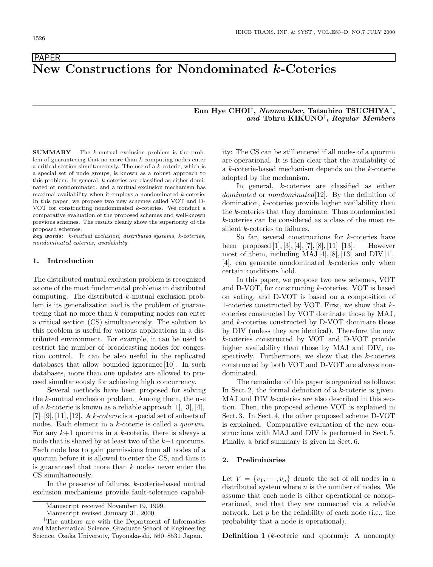**PAPER** 

# **New Constructions for Nondominated** *k***-Coteries**

# **Eun Hye CHOI**†**,** *Nonmember***, Tatsuhiro TSUCHIYA**†**,** *and* **Tohru KIKUNO**†**,** *Regular Members*

**SUMMARY** The *<sup>k</sup>*-mutual exclusion problem is the problem of guaranteeing that no more than *k* computing nodes enter a critical section simultaneously. The use of a *k*-coterie, which is a special set of node groups, is known as a robust approach to this problem. In general, *k*-coteries are classified as either dominated or nondominated, and a mutual exclusion mechanism has maximal availability when it employs a nondominated *k*-coterie. In this paper, we propose two new schemes called VOT and D-VOT for constructing nondominated *k*-coteries. We conduct a comparative evaluation of the proposed schemes and well-known previous schemes. The results clearly show the superiority of the proposed schemes.

*key words: k-mutual exclusion, distributed systems, k-coteries, nondominated coteries, availability*

## **1. Introduction**

The distributed mutual exclusion problem is recognized as one of the most fundamental problems in distributed computing. The distributed k-mutual exclusion problem is its generalization and is the problem of guaranteeing that no more than  $k$  computing nodes can enter a critical section (CS) simultaneously. The solution to this problem is useful for various applications in a distributed environment. For example, it can be used to restrict the number of broadcasting nodes for congestion control. It can be also useful in the replicated databases that allow bounded ignorance [10]. In such databases, more than one updates are allowed to proceed simultaneously for achieving high concurrency.

Several methods have been proposed for solving the k-mutual exclusion problem. Among them, the use of a k-coterie is known as a reliable approach  $[1], [3], [4],$  $[7]$ –[9], [11], [12]. A k-coterie is a special set of subsets of nodes. Each element in a k-coterie is called a *quorum*. For any  $k+1$  quorums in a k-coterie, there is always a node that is shared by at least two of the  $k+1$  quorums. Each node has to gain permissions from all nodes of a quorum before it is allowed to enter the CS, and thus it is guaranteed that more than  $k$  nodes never enter the CS simultaneously.

In the presence of failures, k-coterie-based mutual exclusion mechanisms provide fault-tolerance capability: The CS can be still entered if all nodes of a quorum are operational. It is then clear that the availability of a k-coterie-based mechanism depends on the k-coterie adopted by the mechanism.

In general, k-coteries are classified as either dominated or nondominated [12]. By the definition of domination, k-coteries provide higher availability than the k-coteries that they dominate. Thus nondominated k-coteries can be considered as a class of the most resilient k-coteries to failures.

So far, several constructions for  $k$ -coteries have been proposed  $[1], [3], [4], [7], [8], [11]$ – $[13]$ . However most of them, including  $MAJ[4], [8], [13]$  and  $DIV[1],$ [4], can generate nondominated k-coteries only when certain conditions hold.

In this paper, we propose two new schemes, VOT and D-VOT, for constructing k-coteries. VOT is based on voting, and D-VOT is based on a composition of 1-coteries constructed by VOT. First, we show that kcoteries constructed by VOT dominate those by MAJ, and k-coteries constructed by D-VOT dominate those by DIV (unless they are identical). Therefore the new k-coteries constructed by VOT and D-VOT provide higher availability than those by MAJ and DIV, respectively. Furthermore, we show that the  $k$ -coteries constructed by both VOT and D-VOT are always nondominated.

The remainder of this paper is organized as follows: In Sect. 2, the formal definition of a  $k$ -coterie is given. MAJ and DIV *k*-coteries are also described in this section. Then, the proposed scheme VOT is explained in Sect. 3. In Sect. 4, the other proposed scheme D-VOT is explained. Comparative evaluation of the new constructions with MAJ and DIV is performed in Sect. 5. Finally, a brief summary is given in Sect. 6.

## **2. Preliminaries**

Let  $V = \{v_1, \dots, v_n\}$  denote the set of all nodes in a distributed system where  $n$  is the number of nodes. We assume that each node is either operational or nonoperational, and that they are connected via a reliable network. Let  $p$  be the reliability of each node (i.e., the probability that a node is operational).

**Definition 1** (*k*-coterie and quorum): A nonempty

Manuscript received November 19, 1999.

Manuscript revised January 31, 2000.

*<sup>†</sup>*The authors are with the Department of Informatics and Mathematical Science, Graduate School of Engineering Science, Osaka University, Toyonaka-shi, 560–8531 Japan.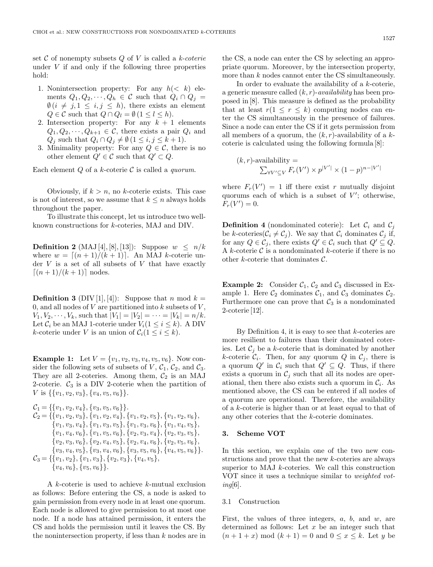set C of nonempty subsets Q of V is called a *k-coterie* under  $V$  if and only if the following three properties hold:

- 1. Nonintersection property: For any  $h \leq k$  elements  $Q_1, Q_2, \cdots, Q_h \in \mathcal{C}$  such that  $\hat{Q}_i \cap \hat{Q}_j =$  $\emptyset$   $(i \neq j, 1 \leq i, j \leq h)$ , there exists an element  $Q \in \mathcal{C}$  such that  $Q \cap Q_l = \emptyset$  ( $1 \leq l \leq h$ ).
- 2. Intersection property: For any  $k + 1$  elements  $Q_1, Q_2, \dots, Q_{k+1} \in \mathcal{C}$ , there exists a pair  $Q_i$  and  $Q_j$  such that  $Q_i \cap Q_j \neq \emptyset$  ( $1 \leq i, j \leq k+1$ ).
- 3. Minimality property: For any  $Q \in \mathcal{C}$ , there is no other element  $Q' \in \mathcal{C}$  such that  $Q' \subset Q$ .

Each element Q of a k-coterie C is called a *quorum*.

Obviously, if  $k>n$ , no k-coterie exists. This case is not of interest, so we assume that  $k \leq n$  always holds throughout the paper.

To illustrate this concept, let us introduce two wellknown constructions for k-coteries, MAJ and DIV.

**Definition 2** (MAJ [4], [8], [13]): Suppose  $w \leq n/k$ where  $w = \lfloor (n+1)/(k+1) \rfloor$ . An MAJ k-coterie under  $V$  is a set of all subsets of  $V$  that have exactly  $[(n+1)/(k+1)]$  nodes.

**Definition 3** (DIV [1], [4]): Suppose that n mod  $k =$ 0, and all nodes of  $V$  are partitioned into  $k$  subsets of  $V$ ,  $V_1, V_2, \dots, V_k$ , such that  $|V_1| = |V_2| = \dots = |V_k| = n/k$ . Let  $\mathcal{C}_i$  be an MAJ 1-coterie under  $V_i(1 \leq i \leq k)$ . A DIV k-coterie under V is an union of  $C_i(1 \leq i \leq k)$ .

**Example 1:** Let  $V = \{v_1, v_2, v_3, v_4, v_5, v_6\}$ . Now consider the following sets of subsets of  $V, C_1, C_2$ , and  $C_3$ . They are all 2-coteries. Among them,  $C_2$  is an MAJ 2-coterie.  $C_3$  is a DIV 2-coterie when the partition of V is  $\{\{v_1, v_2, v_3\}, \{v_4, v_5, v_6\}\}.$ 

$$
C_1 = \{\{v_1, v_2, v_4\}, \{v_3, v_5, v_6\}\}.
$$
  
\n
$$
C_2 = \{\{v_1, v_2, v_3\}, \{v_1, v_2, v_4\}, \{v_1, v_2, v_5\}, \{v_1, v_2, v_6\}, \{v_1, v_3, v_4\}, \{v_1, v_3, v_5\}, \{v_1, v_3, v_6\}, \{v_1, v_4, v_5\}, \{v_1, v_4, v_6\}, \{v_1, v_5, v_6\}, \{v_2, v_3, v_4\}, \{v_2, v_3, v_5\}, \{v_2, v_3, v_6\}, \{v_2, v_4, v_5\}, \{v_2, v_4, v_6\}, \{v_2, v_5, v_6\}, \{v_3, v_4, v_5\}, \{v_3, v_4, v_6\}, \{v_3, v_5, v_6\}, \{v_4, v_5, v_6\}.
$$
  
\n
$$
C_3 = \{\{v_1, v_2\}, \{v_1, v_3\}, \{v_2, v_3\}, \{v_4, v_5\}, \{v_4, v_5, v_6\}\}.
$$
  
\n
$$
\{v_4, v_6\}, \{v_5, v_6\}\}.
$$

A k-coterie is used to achieve k-mutual exclusion as follows: Before entering the CS, a node is asked to gain permission from every node in at least one quorum. Each node is allowed to give permission to at most one node. If a node has attained permission, it enters the CS and holds the permission until it leaves the CS. By the nonintersection property, if less than  $k$  nodes are in the CS, a node can enter the CS by selecting an appropriate quorum. Moreover, by the intersection property, more than k nodes cannot enter the CS simultaneously.

In order to evaluate the availability of a k-coterie, a generic measure called (k, r)-*availability* has been proposed in [8]. This measure is defined as the probability that at least  $r(1 \leq r \leq k)$  computing nodes can enter the CS simultaneously in the presence of failures. Since a node can enter the CS if it gets permission from all members of a quorum, the  $(k, r)$ -availability of a kcoterie is calculated using the following formula [8]:

$$
(k,r)\text{-availability} = \frac{\sum_{\forall V' \subseteq V} F_r(V') \times p^{|V'|} \times (1-p)^{n-|V'|}}{\sum_{\forall V' \subseteq V} F_r(V') \times p^{|V'|}}
$$

where  $F_r(V') = 1$  iff there exist r mutually disjoint quorums each of which is a subset of  $V'$ ; otherwise,  $F_r(V') = 0.$ 

**Definition 4** (nondominated coterie): Let  $\mathcal{C}_i$  and  $\mathcal{C}_j$ be k-coteries( $C_i \neq C_j$ ). We say that  $C_i$  dominates  $C_j$  if, for any  $Q \in \mathcal{C}_j$ , there exists  $Q' \in \mathcal{C}_i$  such that  $Q' \subseteq Q$ . A k-coterie  $\mathcal C$  is a nondominated k-coterie if there is no other k-coterie that dominates C.

**Example 2:** Consider  $C_1$ ,  $C_2$  and  $C_3$  discussed in Example 1. Here  $C_2$  dominates  $C_1$ , and  $C_3$  dominates  $C_2$ . Furthermore one can prove that  $\mathcal{C}_3$  is a nondominated 2-coterie [12].

By Definition 4, it is easy to see that  $k$ -coteries are more resilient to failures than their dominated coteries. Let  $\mathcal{C}_i$  be a k-coterie that is dominated by another k-coterie  $C_i$ . Then, for any quorum Q in  $C_j$ , there is a quorum  $Q'$  in  $\mathcal{C}_i$  such that  $Q' \subseteq Q$ . Thus, if there exists a quorum in  $\mathcal{C}_j$  such that all its nodes are operational, then there also exists such a quorum in  $\mathcal{C}_i$ . As mentioned above, the CS can be entered if all nodes of a quorum are operational. Therefore, the availability of a k-coterie is higher than or at least equal to that of any other coteries that the k-coterie dominates.

# **3. Scheme VOT**

In this section, we explain one of the two new constructions and prove that the new k-coteries are always superior to MAJ  $k$ -coteries. We call this construction VOT since it uses a technique similar to *weighted voting*[6].

#### 3.1 Construction

First, the values of three integers,  $a, b$ , and  $w$ , are determined as follows: Let  $x$  be an integer such that  $(n+1+x) \mod (k+1) = 0$  and  $0 \leq x \leq k$ . Let y be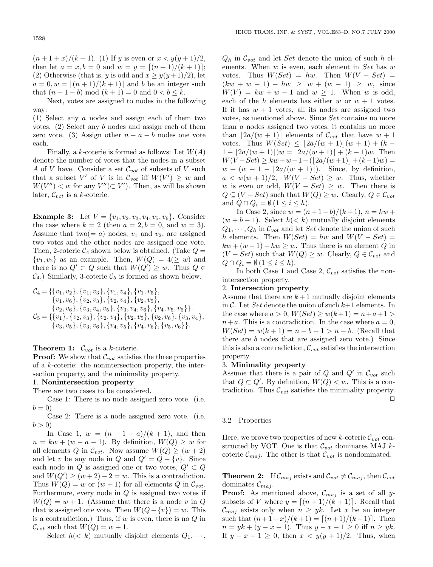$(n+1+x)/(k+1)$ . (1) If y is even or  $x < y(y+1)/2$ , then let  $a = x, b = 0$  and  $w = y = [(n + 1)/(k + 1)];$ (2) Otherwise (that is, y is odd and  $x \geq y(y+1)/2$ ), let  $a = 0, w = \lfloor (n+1)/(k+1) \rfloor$  and b be an integer such that  $(n+1-b) \mod (k+1) = 0$  and  $0 < b \le k$ .

Next, votes are assigned to nodes in the following way:

(1) Select any a nodes and assign each of them two votes. (2) Select any b nodes and assign each of them zero vote. (3) Assign other  $n - a - b$  nodes one vote each.

Finally, a k-coterie is formed as follows: Let  $W(A)$ denote the number of votes that the nodes in a subset A of V have. Consider a set  $\mathcal{C}_{vot}$  of subsets of V such that a subset V' of V is in  $\mathcal{C}_{\text{vot}}$  iff  $W(V') \geq w$  and  $W(V'') < w$  for any  $V''(\subset V')$ . Then, as will be shown later,  $\mathcal{C}_{vot}$  is a *k*-coterie.

**Example 3:** Let  $V = \{v_1, v_2, v_3, v_4, v_5, v_6\}$ . Consider the case where  $k = 2$  (then  $a = 2, b = 0$ , and  $w = 3$ ). Assume that two( $=a$ ) nodes,  $v_1$  and  $v_2$ , are assigned two votes and the other nodes are assigned one vote. Then, 2-coterie  $\mathcal{C}_4$  shown below is obtained. (Take  $Q =$  $\{v_1, v_2\}$  as an example. Then,  $W(Q) = 4(\geq w)$  and there is no  $Q' \subset Q$  such that  $W(Q') \geq w$ . Thus  $Q \in$  $C_4$ .) Similarly, 3-coterie  $C_5$  is formed as shown below.

$$
C_4 = \{ \{v_1, v_2\}, \{v_1, v_3\}, \{v_1, v_4\}, \{v_1, v_5\}, \n\{v_1, v_6\}, \{v_2, v_3\}, \{v_2, v_4\}, \{v_2, v_5\}, \n\{v_2, v_6\}, \{v_3, v_4, v_5\}, \{v_3, v_4, v_6\}, \{v_4, v_5, v_6\} \}.
$$
  
\n
$$
C_5 = \{ \{v_1\}, \{v_2, v_3\}, \{v_2, v_4\}, \{v_2, v_5\}, \{v_2, v_6\}, \{v_3, v_4\}, \n\{v_3, v_5\}, \{v_3, v_6\}, \{v_4, v_5\}, \{v_4, v_6\}, \{v_5, v_6\} \}.
$$

**Theorem 1:**  $\mathcal{C}_{vot}$  is a *k*-coterie.

**Proof:** We show that  $\mathcal{C}_{\text{vot}}$  satisfies the three properties of a k-coterie: the nonintersection property, the intersection property, and the minimality property.

## 1. **Nonintersection property**

There are two cases to be considered.

Case 1: There is no node assigned zero vote. (i.e.  $b=0$ 

Case 2: There is a node assigned zero vote. (i.e.  $b > 0$ 

In Case 1,  $w = (n + 1 + a)/(k + 1)$ , and then  $n = kw + (w - a - 1)$ . By definition,  $W(Q) \geq w$  for all elements Q in  $\mathcal{C}_{vot}$ . Now assume  $W(Q) \geq (w+2)$ and let v be any node in Q and  $Q' = Q - \{v\}$ . Since each node in  $Q$  is assigned one or two votes,  $Q' \subset Q$ and  $W(Q') \ge (w+2) - 2 = w$ . This is a contradiction. Thus  $W(Q) = w$  or  $(w + 1)$  for all elements Q in  $C_{vot}$ . Furthermore, every node in  $Q$  is assigned two votes if  $W(Q) = w + 1$ . (Assume that there is a node v in Q that is assigned one vote. Then  $W(Q - \{v\}) = w$ . This is a contradiction.) Thus, if  $w$  is even, there is no  $Q$  in  $\mathcal{C}_{vot}$  such that  $W(Q) = w + 1$ .

Select  $h \ll k$ ) mutually disjoint elements  $Q_1, \dots,$ 

 $Q_h$  in  $\mathcal{C}_{vot}$  and let *Set* denote the union of such h elements. When  $w$  is even, each element in  $Set$  has  $w$ votes. Thus  $W(Set) = hw$ . Then  $W(V - Set) =$  $(kw + w - 1) - hw \geq w + (w - 1) \geq w$ , since  $W(V) = kw + w - 1$  and  $w > 1$ . When w is odd, each of the h elements has either w or  $w + 1$  votes. If it has  $w + 1$  votes, all its nodes are assigned two votes, as mentioned above. Since Set contains no more than a nodes assigned two votes, it contains no more than  $|2a/(w+1)|$  elements of  $\mathcal{C}_{vot}$  that have  $w+1$ votes. Thus  $W(Set) \leq \lfloor 2a/(w+1)\rfloor (w+1) + (k 1 - |2a/(w+1)|w = |2a/(w+1)| + (k-1)w$ . Then  $W(V-Set) \geq kw+w-1-(|2a/(w+1)|+(k-1)w) =$  $w + (w - 1 - |2a/(w + 1)|)$ . Since, by definition,  $a < w(w + 1)/2$ ,  $W(V - Set) \geq w$ . Thus, whether w is even or odd,  $W(V - Set) \geq w$ . Then there is  $Q \subseteq (V - Set)$  such that  $W(Q) \geq w$ . Clearly,  $Q \in \mathcal{C}_{vot}$ and  $Q \cap Q_i = \emptyset$  ( $1 \leq i \leq h$ ).

In Case 2, since  $w = (n+1-b)/(k+1)$ ,  $n = kw +$  $(w + b - 1)$ . Select  $h \leq k$ ) mutually disjoint elements  $Q_1, \dots, Q_h$  in  $\mathcal{C}_{vot}$  and let *Set* denote the union of such h elements. Then  $W(Set) = hw$  and  $W(V - Set) =$  $kw + (w - 1) - hw \geq w$ . Thus there is an element Q in  $(V - Set)$  such that  $W(Q) \geq w$ . Clearly,  $Q \in \mathcal{C}_{vot}$  and  $Q \cap Q_i = \emptyset$  (1  $\leq i \leq h$ ).

In both Case 1 and Case 2,  $\mathcal{C}_{\textit{vot}}$  satisfies the nonintersection property.

## 2. **Intersection property**

Assume that there are  $k+1$  mutually disjoint elements in  $\mathcal C$ . Let Set denote the union of such  $k+1$  elements. In the case where  $a > 0$ ,  $W(Set) \geq w(k+1) = n+a+1$  $n+a$ . This is a contradiction. In the case where  $a=0$ ,  $W(Set) = w(k + 1) = n - b + 1 > n - b.$  (Recall that there are b nodes that are assigned zero vote.) Since this is also a contradiction,  $\mathcal{C}_{\textit{vot}}$  satisfies the intersection property.

#### 3. **Minimality property**

Assume that there is a pair of  $Q$  and  $Q'$  in  $\mathcal{C}_{vot}$  such that  $Q \subset Q'$ . By definition,  $W(Q) < w$ . This is a contradiction. Thus  $\mathcal{C}_{vot}$  satisfies the minimality property.  $\Box$ 

#### 3.2 Properties

Here, we prove two properties of new k-coterie  $\mathcal{C}_{\nu o t}$  constructed by VOT. One is that  $\mathcal{C}_{\textit{vot}}$  dominates MAJ  $k$ coterie  $\mathcal{C}_{maj}$ . The other is that  $\mathcal{C}_{vot}$  is nondominated.

**Theorem 2:** If  $\mathcal{C}_{maj}$  exists and  $\mathcal{C}_{vot} \neq \mathcal{C}_{maj}$ , then  $\mathcal{C}_{vot}$ dominates  $\mathcal{C}_{maj}$ .

**Proof:** As mentioned above,  $\mathcal{C}_{maj}$  is a set of all ysubsets of V where  $y = \lfloor (n+1)/(k+1) \rfloor$ . Recall that  $\mathcal{C}_{maj}$  exists only when  $n \geq yk$ . Let x be an integer such that  $(n+1+x)/(k+1) = [(n+1)/(k+1)]$ . Then  $n = yk + (y - x - 1)$ . Thus  $y - x - 1 \ge 0$  iff  $n \ge yk$ . If  $y - x - 1 \geq 0$ , then  $x < y(y + 1)/2$ . Thus, when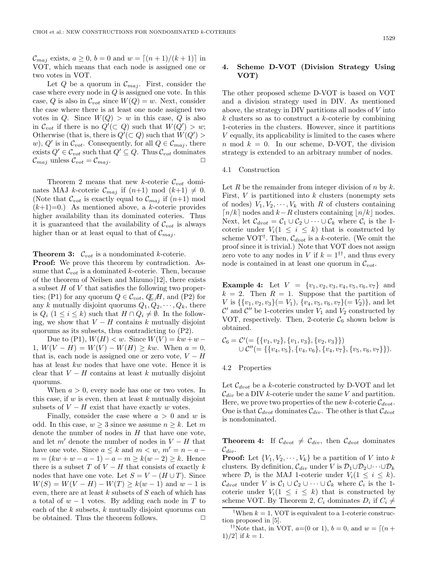Let  $Q$  be a quorum in  $\mathcal{C}_{maj}$ . First, consider the case where every node in  $Q$  is assigned one vote. In this case, Q is also in  $C_{vot}$  since  $W(Q) = w$ . Next, consider the case where there is at least one node assigned two votes in Q. Since  $W(Q) > w$  in this case, Q is also in  $\mathcal{C}_{vot}$  if there is no  $Q'(\subset Q)$  such that  $W(Q') > w$ ; Otherwise (that is, there is  $Q'(\subset Q)$  such that  $W(Q') >$ w), Q' is in  $\mathcal{C}_{vot}$ . Consequently, for all  $Q \in \mathcal{C}_{maj}$ , there exists  $Q' \in \mathcal{C}_{vot}$  such that  $Q' \subseteq Q$ . Thus  $\mathcal{C}_{vot}$  dominates  $\mathcal{C}_{maj}$  unless  $\mathcal{C}_{vot} = \mathcal{C}_{maj}$ .

Theorem 2 means that new k-coterie  $\mathcal{C}_{\text{vot}}$  dominates MAJ k-coterie  $\mathcal{C}_{maj}$  if  $(n+1) \mod (k+1) \neq 0$ . (Note that  $\mathcal{C}_{vot}$  is exactly equal to  $\mathcal{C}_{maj}$  if  $(n+1)$  mod  $(k+1)=0.$ ) As mentioned above, a k-coterie provides higher availability than its dominated coteries. Thus it is guaranteed that the availability of  $\mathcal{C}_{\nu o t}$  is always higher than or at least equal to that of  $\mathcal{C}_{maj}$ .

**Theorem 3:**  $\mathcal{C}_{vot}$  is a nondominated k-coterie.

**Proof:** We prove this theorem by contradiction. Assume that  $\mathcal{C}_{vot}$  is a dominated k-coterie. Then, because of the theorem of Neilsen and Mizuno [12], there exists a subset  $H$  of  $V$  that satisfies the following two properties; (P1) for any quorum  $Q \in \mathcal{C}_{vot}$ ,  $\mathcal{Q}_H$ , and (P2) for any k mutually disjoint quorums  $Q_1, Q_2, \dots, Q_k$ , there is  $Q_i$  (1 ≤ *i* ≤ *k*) such that  $H \cap Q_i \neq \emptyset$ . In the following, we show that  $V - H$  contains k mutually disjoint quorums as its subsets, thus contradicting to (P2).

Due to (P1),  $W(H) < w$ . Since  $W(V) = kw + w - w$ 1,  $W(V - H) = W(V) - W(H) \geq kw$ . When  $a = 0$ , that is, each node is assigned one or zero vote,  $V - H$ has at least kw nodes that have one vote. Hence it is clear that  $V - H$  contains at least k mutually disjoint quorums.

When  $a > 0$ , every node has one or two votes. In this case, if  $w$  is even, then at least  $k$  mutually disjoint subsets of  $V - H$  exist that have exactly w votes.

Finally, consider the case where  $a > 0$  and w is odd. In this case,  $w \geq 3$  since we assume  $n \geq k$ . Let m denote the number of nodes in  $H$  that have one vote, and let  $m'$  denote the number of nodes in  $V - H$  that have one vote. Since  $a \leq k$  and  $m < w$ ,  $m' = n - a$  $m = (kw + w - a - 1) - a - m \geq k(w - 2) \geq k$ . Hence there is a subset T of  $V - H$  that consists of exactly k nodes that have one vote. Let  $S = V - (H \cup T)$ . Since  $W(S) = W(V - H) - W(T) \geq k(w - 1)$  and  $w - 1$  is even, there are at least  $k$  subsets of  $S$  each of which has a total of  $w - 1$  votes. By adding each node in T to each of the  $k$  subsets,  $k$  mutually disjoint quorums can be obtained. Thus the theorem follows.  $\Box$ 

# **4. Scheme D-VOT (Division Strategy Using VOT)**

The other proposed scheme D-VOT is based on VOT and a division strategy used in DIV. As mentioned above, the strategy in DIV partitions all nodes of V into  $k$  clusters so as to construct a  $k$ -coterie by combining 1-coteries in the clusters. However, since it partitions V equally, its applicability is limited to the cases where  $n \mod k = 0$ . In our scheme, D-VOT, the division strategy is extended to an arbitrary number of nodes.

#### 4.1 Construction

Let R be the remainder from integer division of  $n$  by  $k$ . First,  $V$  is partitioned into  $k$  clusters (nonempty sets of nodes)  $V_1, V_2, \dots, V_k$  with R of clusters containing  $\lceil n/k \rceil$  nodes and  $k-R$  clusters containing  $\lceil n/k \rceil$  nodes. Next, let  $\mathcal{C}_{d\textrm{vot}} = \mathcal{C}_1 \cup \mathcal{C}_2 \cup \cdots \cup \mathcal{C}_k$  where  $\mathcal{C}_i$  is the 1coterie under  $V_i(1 \leq i \leq k)$  that is constructed by scheme VOT<sup>†</sup>. Then,  $\mathcal{C}_{d\textrm{vot}}$  is a k-coterie. (We omit the proof since it is trivial.) Note that VOT does not assign zero vote to any nodes in V if  $k = 1^{\dagger \dagger}$ , and thus every node is contained in at least one quorum in C*vot*.

**Example 4:** Let  $V = \{v_1, v_2, v_3, v_4, v_5, v_6, v_7\}$  and  $k = 2$ . Then  $R = 1$ . Suppose that the partition of V is  $\{ \{v_1, v_2, v_3\} (= V_1), \{v_4, v_5, v_6, v_7\} (= V_2) \}$ , and let  $\mathcal{C}'$  and  $\mathcal{C}''$  be 1-coteries under  $V_1$  and  $V_2$  constructed by VOT, respectively. Then, 2-coterie  $\mathcal{C}_6$  shown below is obtained.

$$
\mathcal{C}_6 = \mathcal{C}'(=\{\{v_1,v_2\},\{v_1,v_3\},\{v_2,v_3\}\})
$$
  

$$
\cup \mathcal{C}''(=\{\{v_4,v_5\},\{v_4,v_6\},\{v_4,v_7\},\{v_5,v_6,v_7\}\}).
$$

#### 4.2 Properties

Let  $\mathcal{C}_{d\textrm{vot}}$  be a k-coterie constructed by D-VOT and let  $\mathcal{C}_{div}$  be a DIV k-coterie under the same V and partition. Here, we prove two properties of the new  $k$ -coterie  $\mathcal{C}_{d\times d}$ . One is that  $\mathcal{C}_{d\textrm{tot}}$  dominates  $\mathcal{C}_{div}$ . The other is that  $\mathcal{C}_{d\textrm{tot}}$ is nondominated.

**Theorem 4:** If C*dvot* = C*div*, then C*dvot* dominates  $\mathcal{C}_{div}.$ 

**Proof:** Let  $\{V_1, V_2, \dots, V_k\}$  be a partition of V into k clusters. By definition,  $\mathcal{C}_{div}$  under V is  $\mathcal{D}_1 \cup \mathcal{D}_2 \cup \cdots \cup \mathcal{D}_k$ where  $\mathcal{D}_i$  is the MAJ 1-coterie under  $V_i(1 \leq i \leq k)$ .  $\mathcal{C}_{drot}$  under V is  $\mathcal{C}_1 \cup \mathcal{C}_2 \cup \cdots \cup \mathcal{C}_k$  where  $\mathcal{C}_i$  is the 1coterie under  $V_i(1 \leq i \leq k)$  that is constructed by scheme VOT. By Theorem 2,  $C_i$  dominates  $D_i$  if  $C_i \neq$ 

<sup>††</sup>Note that, in VOT,  $a=(0 \text{ or } 1), b=0$ , and  $w = (n +$ 1)/2 if  $k = 1$ .

<sup>&</sup>lt;sup>†</sup>When  $k = 1$ , VOT is equivalent to a 1-coterie construction proposed in [5].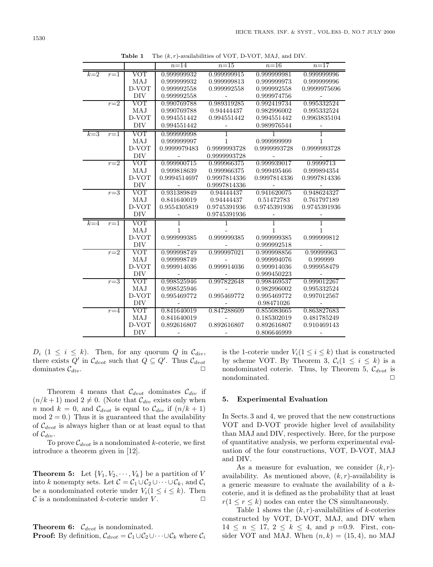|       |         |                         | $n=14$       | $n=15$         | $n=16$         | $n=17$            |
|-------|---------|-------------------------|--------------|----------------|----------------|-------------------|
| $k=2$ | $r=1$   | VOT                     | 0.999999932  | 0.999999915    | 0.999999981    | 0.999999996       |
|       |         | MAJ                     | 0.999999932  | 0.999999813    | 0.999999973    | 0.999999996       |
|       |         | D-VOT                   | 0.999992558  | 0.999992558    | 0.999992558    | 0.9999975696      |
|       |         | DIV                     | 0.999992558  |                | 0.999974756    |                   |
|       | $r=2$   | VOT                     | 0.990769788  | 0.989319285    | 0.992419734    | 0.995332524       |
|       |         | MAJ                     | 0.990769788  | 0.94444437     | 0.982996002    | 0.995332524       |
|       |         | D-VOT                   | 0.994551442  | 0.994551442    | 0.994551442    | 0.9963835104      |
|       |         | DIV                     | 0.994551442  |                | 0.989976544    |                   |
| $k=3$ | $r=1$   | $\rm VOT$               | 0.999999998  | $\overline{1}$ | 1              | $\mathbf 1$       |
|       |         | MAJ                     | 0.999999997  | $\mathbf{1}$   | 0.999999999    | $\mathbf{1}$      |
|       |         | D-VOT                   | 0.9999979483 | 0.9999993728   | 0.9999993728   | 0.9999993728      |
|       |         | DIV                     |              | 0.9999993728   |                |                   |
|       | $r=2$   | VOT                     | 0.999900715  | 0.999966375    | 0.999939017    | 0.9999713         |
|       |         | MAJ                     | 0.999818639  | 0.999966375    | 0.999495466    | $\,0.999894354\,$ |
|       |         | D-VOT                   | 0.9994514697 | 0.9997814336   | 0.9997814336   | 0.9997814336      |
|       |         | <b>DIV</b>              |              | 0.9997814336   |                |                   |
|       | $r=3$   | $\overline{\text{VOT}}$ | 0.931389849  | 0.94444437     | 0.941620075    | 0.948624327       |
|       |         | MAJ                     | 0.841640019  | 0.94444437     | 0.51472783     | 0.761797189       |
|       |         | D-VOT                   | 0.9554305819 | 0.9745391936   | 0.9745391936   | 0.9745391936      |
|       |         | <b>DIV</b>              |              | 0.9745391936   |                |                   |
| $k=4$ | $r=1$   | VOT                     | 1            |                | $\overline{1}$ | 1                 |
|       |         | MAJ                     | $\mathbf{1}$ |                | $\mathbf{1}$   | $\mathbf{1}$      |
|       |         | D-VOT                   | 0.999999385  | 0.999999385    | 0.999999385    | 0.999999812       |
|       |         | DIV                     | ÷,           |                | 0.999992518    |                   |
|       | $r=2$   | VOT                     | 0.999998749  | 0.999997021    | 0.999998856    | 0.99999963        |
|       |         | MAJ                     | 0.999998749  |                | 0.999994076    | 0.999999          |
|       |         | D-VOT                   | 0.999914036  | 0.999914036    | 0.999914036    | 0.999958479       |
|       |         | <b>DIV</b>              |              |                | 0.999450223    |                   |
|       | $r=3$   | VOT                     | 0.998525946  | 0.997822648    | 0.998469537    | 0.999012267       |
|       |         | MAJ                     | 0.998525946  |                | 0.982996002    | 0.995332524       |
|       |         | D-VOT                   | 0.995469772  | 0.995469772    | 0.995469772    | 0.997012567       |
|       |         | DIV                     |              |                | 0.98471026     |                   |
|       | $r = 4$ | <b>VOT</b>              | 0.841640019  | 0.847288609    | 0.855083665    | 0.863827683       |
|       |         | MAJ                     | 0.841640019  | $\overline{a}$ | 0.185302019    | 0.481785249       |
|       |         | D-VOT                   | 0.892616807  | 0.892616807    | 0.892616807    | 0.910469143       |
|       |         | DIV                     |              |                | 0.806646999    |                   |

**Table 1** The (*k, r*)-availabilities of VOT, D-VOT, MAJ, and DIV.

 $D_i$   $(1 \leq i \leq k)$ . Then, for any quorum Q in  $\mathcal{C}_{div}$ , there exists  $Q'$  in  $\mathcal{C}_{d\textrm{vot}}$  such that  $Q \subseteq Q'$ . Thus  $\mathcal{C}_{d\textrm{vot}}$ dominates  $\mathcal{C}_{div}$ .

Theorem 4 means that  $\mathcal{C}_{d\textrm{tot}}$  dominates  $\mathcal{C}_{div}$  if  $(n/k+1) \text{ mod } 2 \neq 0$ . (Note that  $\mathcal{C}_{div}$  exists only when n mod  $k = 0$ , and  $\mathcal{C}_{dvo}$  is equal to  $\mathcal{C}_{div}$  if  $(n/k + 1)$  $mod 2 = 0$ .) Thus it is guaranteed that the availability of C*dvot* is always higher than or at least equal to that of C*div*.

To prove  $\mathcal{C}_{d\textrm{vot}}$  is a nondominated k-coterie, we first introduce a theorem given in [12].

**Theorem 5:** Let  $\{V_1, V_2, \dots, V_k\}$  be a partition of V into k nonempty sets. Let  $C = C_1 \cup C_2 \cup \cdots \cup C_k$ , and  $C_i$ be a nondominated coterie under  $V_i(1 \leq i \leq k)$ . Then  $\mathcal C$  is a nondominated *k*-coterie under  $V$ .

**Theorem 6:**  $\mathcal{C}_{d\textrm{vot}}$  is nondominated.

**Proof:** By definition,  $C_{dvot} = C_1 \cup C_2 \cup \cdots \cup C_k$  where  $C_i$ 

is the 1-coterie under  $V_i(1 \leq i \leq k)$  that is constructed by scheme VOT. By Theorem 3,  $C_i(1 \leq i \leq k)$  is a nondominated coterie. Thus, by Theorem 5, C*dvot* is nondominated.  $\Box$ 

#### **5. Experimental Evaluation**

In Sects. 3 and 4, we proved that the new constructions VOT and D-VOT provide higher level of availability than MAJ and DIV, respectively. Here, for the purpose of quantitative analysis, we perform experimental evaluation of the four constructions, VOT, D-VOT, MAJ and DIV.

As a measure for evaluation, we consider  $(k, r)$ availability. As mentioned above,  $(k, r)$ -availability is a generic measure to evaluate the availability of a kcoterie, and it is defined as the probability that at least  $r(1 \le r \le k)$  nodes can enter the CS simultaneously.

Table 1 shows the  $(k, r)$ -availabilities of k-coteries constructed by VOT, D-VOT, MAJ, and DIV when  $14 \leq n \leq 17, 2 \leq k \leq 4$ , and  $p = 0.9$ . First, consider VOT and MAJ. When  $(n, k) = (15, 4)$ , no MAJ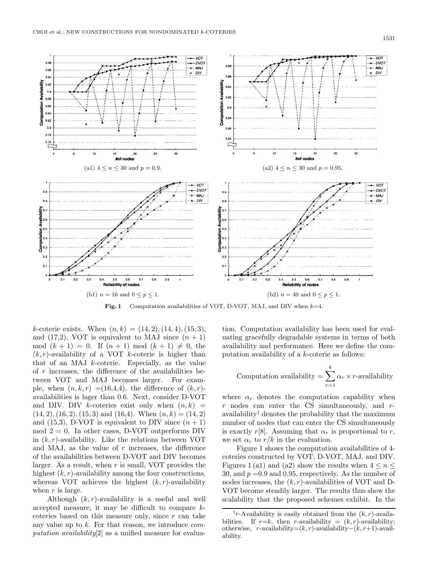

**Fig. 1** Computation availabilities of VOT, D-VOT, MAJ, and DIV when *<sup>k</sup>*=4.

k-coterie exists. When  $(n, k) = (14, 2), (14, 4), (15, 3),$ and (17,2), VOT is equivalent to MAJ since  $(n + 1)$ mod  $(k + 1) = 0$ . If  $(n + 1) \mod (k + 1) \neq 0$ , the  $(k, r)$ -availability of a VOT k-coterie is higher than that of an MAJ  $k$ -coterie. Especially, as the value of r increases, the difference of the availabilities between VOT and MAJ becomes larger. For example, when  $(n, k, r) = (16, 4, 4)$ , the difference of  $(k, r)$ availabilities is lager than 0.6. Next, consider D-VOT and DIV. DIV k-coteries exist only when  $(n, k)$  =  $(14, 2), (16, 2), (15, 3)$  and  $(16, 4)$ . When  $(n, k) = (14, 2)$ and (15,3), D-VOT is equivalent to DIV since  $(n + 1)$ mod  $2 = 0$ . In other cases, D-VOT outperforms DIV in  $(k, r)$ -availability. Like the relations between VOT and MAJ, as the value of  $r$  increases, the difference of the availabilities between D-VOT and DIV becomes larger. As a result, when  $r$  is small, VOT provides the highest  $(k, r)$ -availability among the four constructions, whereas VOT achieves the highest  $(k, r)$ -availability when  $r$  is large.

Although  $(k, r)$ -availability is a useful and well accepted measure, it may be difficult to compare kcoteries based on this measure only, since  $r$  can take any value up to k. For that reason, we introduce *computation availability*[2] as a unified measure for evaluation. Computation availability has been used for evaluating gracefully degradable systems in terms of both availability and performance. Here we define the computation availability of a k-coterie as follows:

Computation availability 
$$
= \sum_{r=1}^{k} \alpha_r \times r
$$
-availability

where  $\alpha_r$  denotes the computation capability when  $r$  nodes can enter the CS simultaneously, and  $r$ availability† denotes the probability that the maximum number of nodes that can enter the CS simultaneously is exactly r[8]. Assuming that  $\alpha_r$  is proportional to r, we set  $\alpha_r$  to  $r/k$  in the evaluation.

Figure 1 shows the computation availabilities of 4 coteries constructed by VOT, D-VOT, MAJ, and DIV. Figures 1(a1) and (a2) show the results when  $4 \leq n \leq$ 30, and  $p = 0.9$  and 0.95, respectively. As the number of nodes increases, the  $(k, r)$ -availabilities of VOT and D-VOT become steadily larger. The results thus show the scalability that the proposed schemes exhibit. In the

*<sup>†</sup>r*-Availability is easily obtained from the (*k, r*)-availabilities. If  $r=k$ , then *r*-availability =  $(k, r)$ -availability; otherwise, *r*-availability=(*k, r*)-availability−(*k, r*+1)-availability.